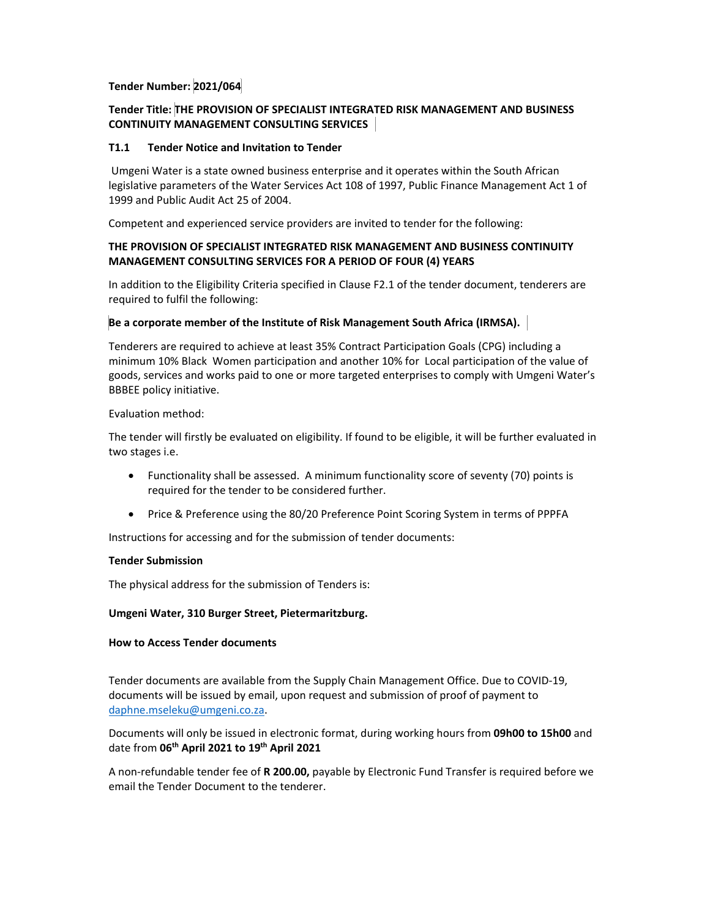# **Tender Number: 2021/064**

# **Tender Title: THE PROVISION OF SPECIALIST INTEGRATED RISK MANAGEMENT AND BUSINESS CONTINUITY MANAGEMENT CONSULTING SERVICES**

## **T1.1 Tender Notice and Invitation to Tender**

Umgeni Water is a state owned business enterprise and it operates within the South African legislative parameters of the Water Services Act 108 of 1997, Public Finance Management Act 1 of 1999 and Public Audit Act 25 of 2004.

Competent and experienced service providers are invited to tender for the following:

## **THE PROVISION OF SPECIALIST INTEGRATED RISK MANAGEMENT AND BUSINESS CONTINUITY MANAGEMENT CONSULTING SERVICES FOR A PERIOD OF FOUR (4) YEARS**

In addition to the Eligibility Criteria specified in Clause F2.1 of the tender document, tenderers are required to fulfil the following:

### **Be a corporate member of the Institute of Risk Management South Africa (IRMSA).**

Tenderers are required to achieve at least 35% Contract Participation Goals (CPG) including a minimum 10% Black Women participation and another 10% for Local participation of the value of goods, services and works paid to one or more targeted enterprises to comply with Umgeni Water's BBBEE policy initiative.

#### Evaluation method:

The tender will firstly be evaluated on eligibility. If found to be eligible, it will be further evaluated in two stages i.e.

- Functionality shall be assessed. A minimum functionality score of seventy (70) points is required for the tender to be considered further.
- Price & Preference using the 80/20 Preference Point Scoring System in terms of PPPFA

Instructions for accessing and for the submission of tender documents:

### **Tender Submission**

The physical address for the submission of Tenders is:

### **Umgeni Water, 310 Burger Street, Pietermaritzburg.**

### **How to Access Tender documents**

Tender documents are available from the Supply Chain Management Office. Due to COVID‐19, documents will be issued by email, upon request and submission of proof of payment to daphne.mseleku@umgeni.co.za.

Documents will only be issued in electronic format, during working hours from **09h00 to 15h00** and date from **06th April 2021 to 19th April 2021**

A non‐refundable tender fee of **R 200.00,** payable by Electronic Fund Transfer is required before we email the Tender Document to the tenderer.